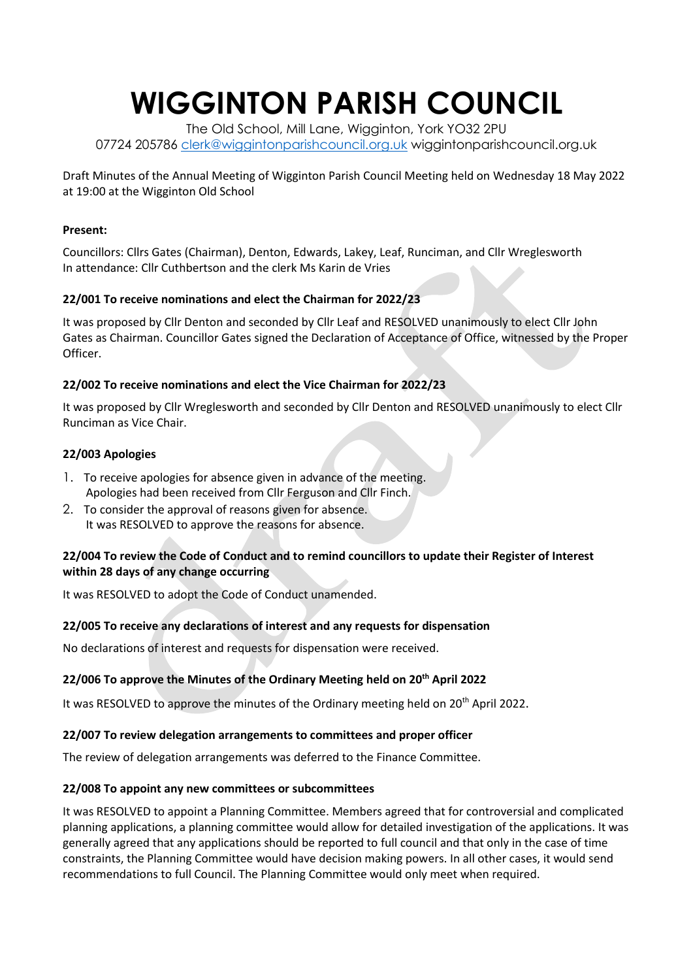# **WIGGINTON PARISH COUNCIL**

The Old School, Mill Lane, Wigginton, York YO32 2PU 07724 205786 [clerk@wiggintonparishcouncil.org.uk](mailto:clerk@wiggintonparishcouncil.org.uk) wiggintonparishcouncil.org.uk

Draft Minutes of the Annual Meeting of Wigginton Parish Council Meeting held on Wednesday 18 May 2022 at 19:00 at the Wigginton Old School

#### **Present:**

Councillors: Cllrs Gates (Chairman), Denton, Edwards, Lakey, Leaf, Runciman, and Cllr Wreglesworth In attendance: Cllr Cuthbertson and the clerk Ms Karin de Vries

## **22/001 To receive nominations and elect the Chairman for 2022/23**

It was proposed by Cllr Denton and seconded by Cllr Leaf and RESOLVED unanimously to elect Cllr John Gates as Chairman. Councillor Gates signed the Declaration of Acceptance of Office, witnessed by the Proper Officer.

### **22/002 To receive nominations and elect the Vice Chairman for 2022/23**

It was proposed by Cllr Wreglesworth and seconded by Cllr Denton and RESOLVED unanimously to elect Cllr Runciman as Vice Chair.

### **22/003 Apologies**

- 1. To receive apologies for absence given in advance of the meeting. Apologies had been received from Cllr Ferguson and Cllr Finch.
- 2. To consider the approval of reasons given for absence. It was RESOLVED to approve the reasons for absence.

### **22/004 To review the Code of Conduct and to remind councillors to update their Register of Interest within 28 days of any change occurring**

It was RESOLVED to adopt the Code of Conduct unamended.

### **22/005 To receive any declarations of interest and any requests for dispensation**

No declarations of interest and requests for dispensation were received.

### **22/006 To approve the Minutes of the Ordinary Meeting held on 20th April 2022**

It was RESOLVED to approve the minutes of the Ordinary meeting held on 20<sup>th</sup> April 2022.

### **22/007 To review delegation arrangements to committees and proper officer**

The review of delegation arrangements was deferred to the Finance Committee.

### **22/008 To appoint any new committees or subcommittees**

It was RESOLVED to appoint a Planning Committee. Members agreed that for controversial and complicated planning applications, a planning committee would allow for detailed investigation of the applications. It was generally agreed that any applications should be reported to full council and that only in the case of time constraints, the Planning Committee would have decision making powers. In all other cases, it would send recommendations to full Council. The Planning Committee would only meet when required.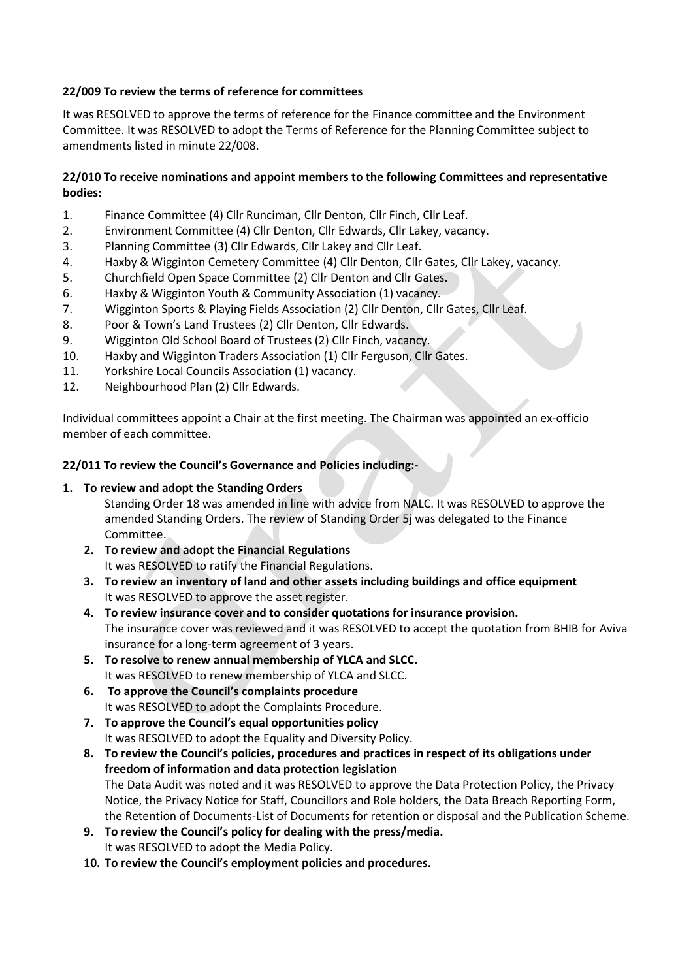## **22/009 To review the terms of reference for committees**

It was RESOLVED to approve the terms of reference for the Finance committee and the Environment Committee. It was RESOLVED to adopt the Terms of Reference for the Planning Committee subject to amendments listed in minute 22/008.

## **22/010 To receive nominations and appoint members to the following Committees and representative bodies:**

- 1. Finance Committee (4) Cllr Runciman, Cllr Denton, Cllr Finch, Cllr Leaf.
- 2. Environment Committee (4) Cllr Denton, Cllr Edwards, Cllr Lakey, vacancy.
- 3. Planning Committee (3) Cllr Edwards, Cllr Lakey and Cllr Leaf.
- 4. Haxby & Wigginton Cemetery Committee (4) Cllr Denton, Cllr Gates, Cllr Lakey, vacancy.
- 5. Churchfield Open Space Committee (2) Cllr Denton and Cllr Gates.
- 6. Haxby & Wigginton Youth & Community Association (1) vacancy.
- 7. Wigginton Sports & Playing Fields Association (2) Cllr Denton, Cllr Gates, Cllr Leaf.
- 8. Poor & Town's Land Trustees (2) Cllr Denton, Cllr Edwards.
- 9. Wigginton Old School Board of Trustees (2) Cllr Finch, vacancy.
- 10. Haxby and Wigginton Traders Association (1) Cllr Ferguson, Cllr Gates.
- 11. Yorkshire Local Councils Association (1) vacancy.
- 12. Neighbourhood Plan (2) Cllr Edwards.

Individual committees appoint a Chair at the first meeting. The Chairman was appointed an ex-officio member of each committee.

### **22/011 To review the Council's Governance and Policies including:-**

## **1. To review and adopt the Standing Orders**

Standing Order 18 was amended in line with advice from NALC. It was RESOLVED to approve the amended Standing Orders. The review of Standing Order 5j was delegated to the Finance Committee.

- **2. To review and adopt the Financial Regulations** It was RESOLVED to ratify the Financial Regulations.
- **3. To review an inventory of land and other assets including buildings and office equipment** It was RESOLVED to approve the asset register.
- **4. To review insurance cover and to consider quotations for insurance provision.** The insurance cover was reviewed and it was RESOLVED to accept the quotation from BHIB for Aviva insurance for a long-term agreement of 3 years.
- **5. To resolve to renew annual membership of YLCA and SLCC.** It was RESOLVED to renew membership of YLCA and SLCC.
- **6. To approve the Council's complaints procedure** It was RESOLVED to adopt the Complaints Procedure.
- **7. To approve the Council's equal opportunities policy** It was RESOLVED to adopt the Equality and Diversity Policy.
- **8. To review the Council's policies, procedures and practices in respect of its obligations under freedom of information and data protection legislation** The Data Audit was noted and it was RESOLVED to approve the Data Protection Policy, the Privacy Notice, the Privacy Notice for Staff, Councillors and Role holders, the Data Breach Reporting Form, the Retention of Documents-List of Documents for retention or disposal and the Publication Scheme.
- **9. To review the Council's policy for dealing with the press/media.**  It was RESOLVED to adopt the Media Policy.
- **10. To review the Council's employment policies and procedures.**